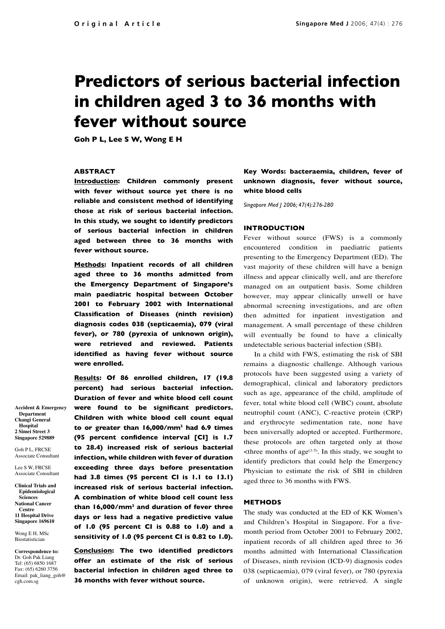# **Predictors of serious bacterial infection in children aged 3 to 36 months with fever without source**

**Goh P L, Lee S W, Wong E H**

# **ABSTRACT**

**Introduction: Children commonly present with fever without source yet there is no reliable and consistent method of identifying those at risk of serious bacterial infection. In this study, we sought to identify predictors of serious bacterial infection in children aged between three to 36 months with fever without source.**

**Methods: Inpatient records of all children aged three to 36 months admitted from the Emergency Department of Singapore's main paediatric hospital between October 2001 to February 2002 with International Classification of Diseases (ninth revision) diagnosis codes 038 (septicaemia), 079 (viral fever), or 780 (pyrexia of unknown origin), were retrieved and reviewed. Patients identified as having fever without source were enrolled.** 

**Results: Of 86 enrolled children, 17 (19.8 percent) had serious bacterial infection. Duration of fever and white blood cell count were found to be significant predictors. Children with white blood cell count equal to or greater than 16,000/mm3 had 6.9 times (95 percent confidence interval [CI] is 1.7 to 28.4) increased risk of serious bacterial infection, while children with fever of duration exceeding three days before presentation had 3.8 times (95 percent CI is 1.1 to 13.1) increased risk of serious bacterial infection. A combination of white blood cell count less than 16,000/mm3 and duration of fever three days or less had a negative predictive value of 1.0 (95 percent CI is 0.88 to 1.0) and a sensitivity of 1.0 (95 percent CI is 0.82 to 1.0).**

**Conclusion: The two identified predictors offer an estimate of the risk of serious bacterial infection in children aged three to 36 months with fever without source.**

**Key Words: bacteraemia, children, fever of unknown diagnosis, fever without source, white blood cells**

*Singapore Med J 2006; 47(4):276-280*

# **INTRODUCTION**

Fever without source (FWS) is a commonly encountered condition in paediatric patients presenting to the Emergency Department (ED). The vast majority of these children will have a benign illness and appear clinically well, and are therefore managed on an outpatient basis. Some children however, may appear clinically unwell or have abnormal screening investigations, and are often then admitted for inpatient investigation and management. A small percentage of these children will eventually be found to have a clinically undetectable serious bacterial infection (SBI).

In a child with FWS, estimating the risk of SBI remains a diagnostic challenge. Although various protocols have been suggested using a variety of demographical, clinical and laboratory predictors such as age, appearance of the child, amplitude of fever, total white blood cell (WBC) count, absolute neutrophil count (ANC), C-reactive protein (CRP) and erythrocyte sedimentation rate, none have been universally adopted or accepted. Furthermore, these protocols are often targeted only at those  $\leq$ three months of age<sup>(1-5)</sup>. In this study, we sought to identify predictors that could help the Emergency Physician to estimate the risk of SBI in children aged three to 36 months with FWS.

# **METHODS**

The study was conducted at the ED of KK Women's and Children's Hospital in Singapore. For a fivemonth period from October 2001 to February 2002, inpatient records of all children aged three to 36 months admitted with International Classification of Diseases, ninth revision (ICD-9) diagnosis codes 038 (septicaemia), 079 (viral fever), or 780 (pyrexia of unknown origin), were retrieved. A single

**Accident & Emergency Department Changi General Hospital 2 Simei Street 3 Singapore 529889**

Goh P L, FRCSE Associate Consultant

Lee S W, FRCSE Associate Consultant

**Clinical Trials and Epidemiological Sciences National Cancer Centre 11 Hospital Drive Singapore 169610**

Wong E H, MSc Biostatistician

**Correspondence to:** Dr. Goh Pak Liang Tel: (65) 6850 1687 Fax: (65) 6260 3756 Email: pak\_liang\_goh@ cgh.com.sg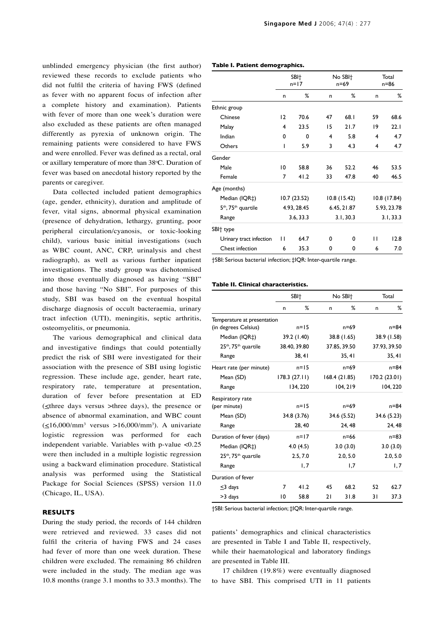unblinded emergency physician (the first author) reviewed these records to exclude patients who did not fulfil the criteria of having FWS (defined as fever with no apparent focus of infection after a complete history and examination). Patients with fever of more than one week's duration were also excluded as these patients are often managed differently as pyrexia of unknown origin. The remaining patients were considered to have FWS and were enrolled. Fever was defined as a rectal, oral or axillary temperature of more than 38°C. Duration of fever was based on anecdotal history reported by the parents or caregiver.

Data collected included patient demographics (age, gender, ethnicity), duration and amplitude of fever, vital signs, abnormal physical examination (presence of dehydration, lethargy, grunting, poor peripheral circulation/cyanosis, or toxic-looking child), various basic initial investigations (such as WBC count, ANC, CRP, urinalysis and chest radiograph), as well as various further inpatient investigations. The study group was dichotomised into those eventually diagnosed as having "SBI" and those having "No SBI". For purposes of this study, SBI was based on the eventual hospital discharge diagnosis of occult bacteraemia, urinary tract infection (UTI), meningitis, septic arthritis, osteomyelitis, or pneumonia.

The various demographical and clinical data and investigative findings that could potentially predict the risk of SBI were investigated for their association with the presence of SBI using logistic regression. These include age, gender, heart rate, respiratory rate, temperature at presentation, duration of fever before presentation at ED  $(\leq$ three days versus >three days), the presence or absence of abnormal examination, and WBC count  $(\leq 16,000/\text{mm}^3$  versus >16,000/mm<sup>3</sup>). A univariate logistic regression was performed for each independent variable. Variables with p-value <0.25 were then included in a multiple logistic regression using a backward elimination procedure. Statistical analysis was performed using the Statistical Package for Social Sciences (SPSS) version 11.0 (Chicago, IL, USA).

# **RESULTS**

During the study period, the records of 144 children were retrieved and reviewed. 33 cases did not fulfil the criteria of having FWS and 24 cases had fever of more than one week duration. These children were excluded. The remaining 86 children were included in the study. The median age was 10.8 months (range 3.1 months to 33.3 months). The

|  | Table I. Patient demographics. |
|--|--------------------------------|
|--|--------------------------------|

|                                             | SBI <sup>+</sup><br>$n=17$ |             | No SBI <sup>+</sup><br>$n = 69$ |             | Total<br>$n = 86$ |              |
|---------------------------------------------|----------------------------|-------------|---------------------------------|-------------|-------------------|--------------|
|                                             | n                          | %           | n                               | %           | n                 | ℅            |
| Ethnic group                                |                            |             |                                 |             |                   |              |
| Chinese                                     | 12                         | 70.6        | 47                              | 68.I        | 59                | 68.6         |
| Malay                                       | 4                          | 23.5        | 15                              | 21.7        | 19                | 22.1         |
| Indian                                      | 0                          | 0           | 4                               | 5.8         | 4                 | 4.7          |
| Others                                      | ı                          | 5.9         | 3                               | 4.3         | 4                 | 4.7          |
| Gender                                      |                            |             |                                 |             |                   |              |
| Male                                        | 10                         | 58.8        | 36                              | 52.2        | 46                | 53.5         |
| Female                                      | 7                          | 41.2        | 33                              | 47.8        | 40                | 46.5         |
| Age (months)                                |                            |             |                                 |             |                   |              |
| Median (IQR‡)                               |                            | 10.7(23.52) |                                 | 10.8(15.42) |                   | 10.8 (17.84) |
| 5 <sup>th</sup> , 75 <sup>th</sup> quartile | 4.93, 28.45                |             |                                 | 6.45, 21.87 |                   | 5.93, 23.78  |
| Range                                       |                            | 3.6, 33.3   |                                 | 3.1, 30.3   |                   | 3.1, 33.3    |
| SBI <sup>+</sup> type                       |                            |             |                                 |             |                   |              |
| Urinary tract infection                     | П                          | 64.7        | $\Omega$                        | 0           | п                 | 12.8         |
| Chest infection                             | 6                          | 35.3        | 0                               | 0           | 6                 | 7.0          |

†SBI: Serious bacterial infection; ‡IQR: Inter-quartile range.

## **Table II. Clinical characteristics.**

|                                              |              | SBI <sup>+</sup> |             | No SBI <sup>+</sup> | Total       |               |
|----------------------------------------------|--------------|------------------|-------------|---------------------|-------------|---------------|
|                                              | n            | %                | n           | %                   | n           | %             |
| Temperature at presentation                  |              |                  |             |                     |             |               |
| (in degrees Celsius)                         |              | $n = 15$         |             | n=69                |             | $n = 84$      |
| Median (IQR‡)                                |              | 39.2 (1.40)      |             | 38.8 (1.65)         |             | 38.9 (1.58)   |
| 25 <sup>th</sup> , 75 <sup>th</sup> quartile | 38.40, 39.80 |                  |             | 37.85, 39.50        |             | 37.93, 39.50  |
| Range                                        |              | 38, 41           |             | 35, 41              |             | 35, 41        |
| Heart rate (per minute)                      |              | $n=15$           | $n = 69$    |                     |             | $n = 84$      |
| Mean (SD)                                    |              | 178.3(27.11)     |             | 168.4 (21.85)       |             | 170.2 (23.01) |
| Range                                        |              | 134, 220         |             | 104, 219            |             | 104, 220      |
| Respiratory rate                             |              |                  |             |                     |             |               |
| (per minute)                                 |              | $n=15$           |             | n=69                |             | $n = 84$      |
| Mean (SD)                                    |              | 34.8 (3.76)      | 34.6 (5.52) |                     | 34.6 (5.23) |               |
| Range                                        |              | 28,40            |             | 24, 48              |             | 24, 48        |
| Duration of fever (days)                     |              | $n=17$           | $n = 66$    |                     |             | $n = 83$      |
| Median (IQR‡)                                |              | 4.0(4.5)         | 3.0(3.0)    |                     | 3.0(3.0)    |               |
| 25 <sup>th</sup> , 75 <sup>th</sup> quartile |              | 2.5, 7.0         | 2.0, 5.0    |                     |             | 2.0, 5.0      |
| Range                                        |              | 1,7              |             | 1,7                 |             | 1,7           |
| Duration of fever                            |              |                  |             |                     |             |               |
| $\leq$ 3 days                                | 7            | 41.2             | 45          | 68.2                | 52          | 62.7          |
| >3 days                                      | 10           | 58.8             | 21          | 31.8                | 31          | 37.3          |

†SBI: Serious bacterial infection; ‡IQR: Inter-quartile range.

patients' demographics and clinical characteristics are presented in Table I and Table II, respectively, while their haematological and laboratory findings are presented in Table III.

17 children (19.8%) were eventually diagnosed to have SBI. This comprised UTI in 11 patients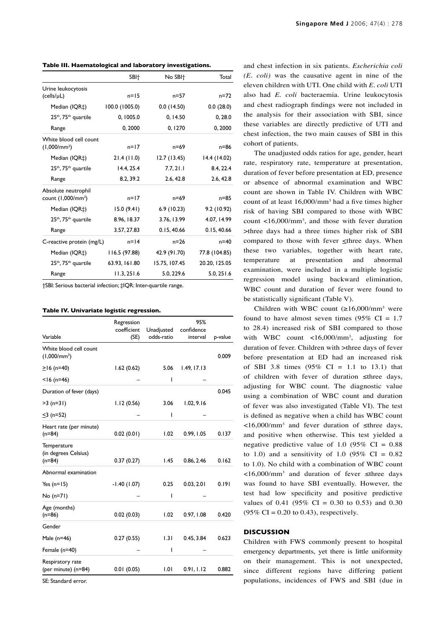|  |  |  |  | Table III. Haematological and laboratory investigations. |
|--|--|--|--|----------------------------------------------------------|
|--|--|--|--|----------------------------------------------------------|

|                                              | SBI <sup>+</sup> | No SBI <sup>+</sup> | Total         |
|----------------------------------------------|------------------|---------------------|---------------|
| Urine leukocytosis                           |                  |                     |               |
| (cells/µL)                                   | $n = 15$         | $n = 57$            | $n = 72$      |
| Median (IQR‡)                                | 100.0 (1005.0)   | 0.0(14.50)          | 0.0(28.0)     |
| $25th$ , $75th$ quartile                     | 0, 1005.0        | 0.14.50             | 0, 28.0       |
| Range                                        | 0,2000           | 0,1270              | 0,2000        |
| White blood cell count                       |                  |                     |               |
| $(1,000/mm^3)$                               | $n=17$           | n=69                | n=86          |
| Median (IQR‡)                                | 21.4(11.0)       | 12.7(13.45)         | 14.4 (14.02)  |
| 25 <sup>th</sup> , 75 <sup>th</sup> quartile | 14.4, 25.4       | 7.7, 21.1           | 8.4, 22.4     |
| Range                                        | 8.2, 39.2        | 2.6, 42.8           | 2.6, 42.8     |
| Absolute neutrophil                          |                  |                     |               |
| count (1,000/mm <sup>3</sup> )               | $n=17$           | $n = 69$            | $n = 85$      |
| Median (IQR‡)                                | 15.0(9.41)       | 6.9(10.23)          | 9.2 (10.92)   |
| 25 <sup>th</sup> , 75 <sup>th</sup> quartile | 8.96, 18.37      | 3.76, 13.99         | 4.07, 14.99   |
| Range                                        | 3.57, 27.83      | 0.15, 40.66         | 0.15, 40.66   |
| C-reactive protein (mg/L)                    | $n = 14$         | $n = 26$            | n=40          |
| Median (IQR‡)                                | 116.5 (97.88)    | 42.9 (91.70)        | 77.8 (104.85) |
| 25 <sup>th</sup> , 75 <sup>th</sup> quartile | 63.93, 161.80    | 15.75, 107.45       | 20.20, 125.05 |
| Range                                        | 11.3, 251.6      | 5.0.229.6           | 5.0, 251.6    |

†SBI: Serious bacterial infection; ‡IQR: Inter-quartile range.

#### **Table IV. Univariate logistic regression.**

|                                                 | Regression<br>coefficient | Unadjusted | 95%<br>confidence |         |
|-------------------------------------------------|---------------------------|------------|-------------------|---------|
| Variable                                        | (SE)                      | odds-ratio | interval          | p-value |
| White blood cell count<br>$(1,000/mm^3)$        |                           |            |                   | 0.009   |
| $\geq$ 16 (n=40)                                | 1.62(0.62)                | 5.06       | 1.49, 17.13       |         |
| $<$ 16 (n=46)                                   |                           | ı          |                   |         |
| Duration of fever (days)                        |                           |            |                   | 0.045   |
| $>3$ (n=31)                                     | 1.12(0.56)                | 3.06       | 1.02, 9.16        |         |
| $≤3$ (n=52)                                     |                           | ı          |                   |         |
| Heart rate (per minute)<br>$(n=84)$             | 0.02(0.01)                | 1.02       | 0.99, 1.05        | 0.137   |
| Temperature<br>(in degrees Celsius)<br>$(n=84)$ | 0.37(0.27)                | I.45       | 0.86, 2.46        | 0.162   |
| Abnormal examination                            |                           |            |                   |         |
| Yes $(n=15)$                                    | $-1.40(1.07)$             | 0.25       | 0.03, 2.01        | 0.191   |
| $No(n=71)$                                      |                           | ı          |                   |         |
| Age (months)<br>$(n=86)$                        | 0.02(0.03)                | 1.02       | 0.97, 1.08        | 0.420   |
| Gender                                          |                           |            |                   |         |
| Male (n=46)                                     | 0.27(0.55)                | 1.31       | 0.45, 3.84        | 0.623   |
| Female (n=40)                                   |                           | ı          |                   |         |
| Respiratory rate<br>(per minute) (n=84)         | 0.01(0.05)                | 1.01       | 0.91, 1.12        | 0.882   |

SE: Standard error.

and chest infection in six patients. *Escherichia coli (E. coli)* was the causative agent in nine of the eleven children with UTI. One child with *E. coli* UTI also had *E. coli* bacteraemia. Urine leukocytosis and chest radiograph findings were not included in the analysis for their association with SBI, since these variables are directly predictive of UTI and chest infection, the two main causes of SBI in this cohort of patients.

The unadjusted odds ratios for age, gender, heart rate, respiratory rate, temperature at presentation, duration of fever before presentation at ED, presence or absence of abnormal examination and WBC count are shown in Table IV. Children with WBC count of at least  $16,000/\text{mm}^3$  had a five times higher risk of having SBI compared to those with WBC count  $<16,000/mm^3$ , and those with fever duration >three days had a three times higher risk of SBI compared to those with fever  $\leq$ three days. When these two variables, together with heart rate, temperature at presentation and abnormal examination, were included in a multiple logistic regression model using backward elimination, WBC count and duration of fever were found to be statistically significant (Table V).

Children with WBC count  $(\geq 16,000/\text{mm}^3$  were found to have almost seven times (95%  $CI = 1.7$ to 28.4) increased risk of SBI compared to those with WBC count  $\langle 16,000 \rangle$ mm<sup>3</sup>, adjusting for duration of fever. Children with >three days of fever before presentation at ED had an increased risk of SBI 3.8 times  $(95\% \text{ CI} = 1.1 \text{ to } 13.1)$  that of children with fever of duration ≤three days, adjusting for WBC count. The diagnostic value using a combination of WBC count and duration of fever was also investigated (Table VI). The test is defined as negative when a child has WBC count  $<16,000/mm^3$  and fever duration of  $\leq$ three days, and positive when otherwise. This test yielded a negative predictive value of 1.0 (95%  $CI = 0.88$ ) to 1.0) and a sensitivity of 1.0 (95% CI =  $0.82$ ) to 1.0). No child with a combination of WBC count <16,000/mm3 and duration of fever ≤three days was found to have SBI eventually. However, the test had low specificity and positive predictive values of 0.41 (95% CI = 0.30 to 0.53) and 0.30  $(95\% \text{ CI} = 0.20 \text{ to } 0.43)$ , respectively.

#### **DISCUSSION**

Children with FWS commonly present to hospital emergency departments, yet there is little uniformity on their management. This is not unexpected, since different regions have differing patient populations, incidences of FWS and SBI (due in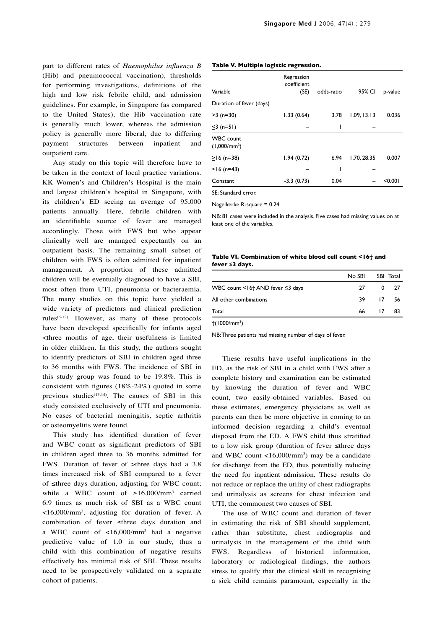part to different rates of *Haemophilus influenza B* (Hib) and pneumococcal vaccination), thresholds for performing investigations, definitions of the high and low risk febrile child, and admission guidelines. For example, in Singapore (as compared to the United States), the Hib vaccination rate is generally much lower, whereas the admission policy is generally more liberal, due to differing payment structures between inpatient and outpatient care.

Any study on this topic will therefore have to be taken in the context of local practice variations. KK Women's and Children's Hospital is the main and largest children's hospital in Singapore, with its children's ED seeing an average of 95,000 patients annually. Here, febrile children with an identifiable source of fever are managed accordingly. Those with FWS but who appear clinically well are managed expectantly on an outpatient basis. The remaining small subset of children with FWS is often admitted for inpatient management. A proportion of these admitted children will be eventually diagnosed to have a SBI, most often from UTI, pneumonia or bacteraemia. The many studies on this topic have yielded a wide variety of predictors and clinical prediction rules<sup>(6-12)</sup>. However, as many of these protocols have been developed specifically for infants aged <three months of age, their usefulness is limited in older children. In this study, the authors sought to identify predictors of SBI in children aged three to 36 months with FWS. The incidence of SBI in this study group was found to be 19.8%. This is consistent with figures (18%-24%) quoted in some previous studies<sup>(13,14)</sup>. The causes of SBI in this study consisted exclusively of UTI and pneumonia. No cases of bacterial meningitis, septic arthritis or osteomyelitis were found.

This study has identified duration of fever and WBC count as significant predictors of SBI in children aged three to 36 months admitted for FWS. Duration of fever of >three days had a 3.8 times increased risk of SBI compared to a fever of ≤three days duration, adjusting for WBC count; while a WBC count of  $\geq 16,000/\text{mm}^3$  carried 6.9 times as much risk of SBI as a WBC count <16,000/mm3 , adjusting for duration of fever. A combination of fever ≤three days duration and a WBC count of  $\langle 16,000 \rangle$ mm<sup>3</sup> had a negative predictive value of 1.0 in our study, thus a child with this combination of negative results effectively has minimal risk of SBI. These results need to be prospectively validated on a separate cohort of patients.

#### **Table V. Multiple logistic regression.**

| Variable                           | Regression<br>coefficient<br>(SE) | odds-ratio | 95% CI      | p-value |
|------------------------------------|-----------------------------------|------------|-------------|---------|
| Duration of fever (days)           |                                   |            |             |         |
| $>3$ (n=30)                        | 1.33(0.64)                        | 3.78       | 1.09, 13.13 | 0.036   |
| $\leq$ 3 (n=51)                    |                                   | ı          |             |         |
| <b>WBC</b> count<br>$(1,000/mm^3)$ |                                   |            |             |         |
| $\geq$ 16 (n=38)                   | 1.94(0.72)                        | 6.94       | 1.70, 28.35 | 0.007   |
| $<$ 16 (n=43)                      |                                   |            |             |         |
| Constant                           | $-3.3(0.73)$                      | 0.04       |             | < 0.001 |
| SE: Standard error.                |                                   |            |             |         |

Nagelkerke R-square = 0.24

NB: 81 cases were included in the analysis. Five cases had missing values on at least one of the variables.

# **Table VI. Combination of white blood cell count <16† and fever ≤3 days.**

|                                  | No SBI |    | SBI Total |
|----------------------------------|--------|----|-----------|
| WBC count <16† AND fever ≤3 days | 27     | 0  | -27       |
| All other combinations           | 39     |    | 17 56     |
| Total                            | 66     | 17 | 83        |
| $\sim$<br>.                      |        |    |           |

 $\dagger$ (1000/mm<sup>3</sup>)

NB: Three patients had missing number of days of fever.

These results have useful implications in the ED, as the risk of SBI in a child with FWS after a complete history and examination can be estimated by knowing the duration of fever and WBC count, two easily-obtained variables. Based on these estimates, emergency physicians as well as parents can then be more objective in coming to an informed decision regarding a child's eventual disposal from the ED. A FWS child thus stratified to a low risk group (duration of fever ≤three days and WBC count  $<16,000/mm^3$  may be a candidate for discharge from the ED, thus potentially reducing the need for inpatient admission. These results do not reduce or replace the utility of chest radiographs and urinalysis as screens for chest infection and UTI, the commonest two causes of SBI.

The use of WBC count and duration of fever in estimating the risk of SBI should supplement, rather than substitute, chest radiographs and urinalysis in the management of the child with FWS. Regardless of historical information, laboratory or radiological findings, the authors stress to qualify that the clinical skill in recognising a sick child remains paramount, especially in the